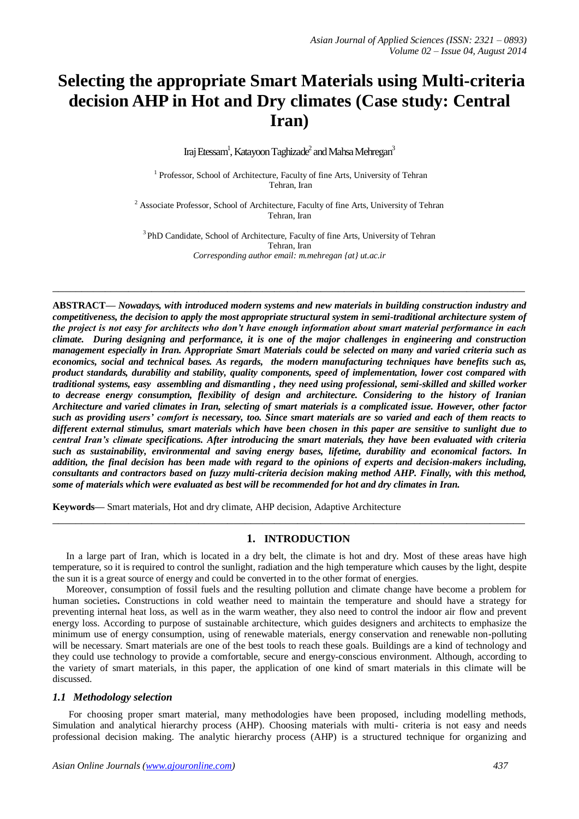# **Selecting the appropriate Smart Materials using Multi-criteria decision AHP in Hot and Dry climates (Case study: Central Iran)**

Iraj Etessam<sup>1</sup>, Katayoon Taghizade<sup>2</sup> and Mahsa Mehregan<sup>3</sup>

<sup>1</sup> Professor, School of Architecture, Faculty of fine Arts, University of Tehran Tehran, Iran

<sup>2</sup> Associate Professor, School of Architecture, Faculty of fine Arts, University of Tehran Tehran, Iran

<sup>3</sup> PhD Candidate, School of Architecture, Faculty of fine Arts, University of Tehran Tehran, Iran *Corresponding author email: m.mehregan {at} ut.ac.ir*

**\_\_\_\_\_\_\_\_\_\_\_\_\_\_\_\_\_\_\_\_\_\_\_\_\_\_\_\_\_\_\_\_\_\_\_\_\_\_\_\_\_\_\_\_\_\_\_\_\_\_\_\_\_\_\_\_\_\_\_\_\_\_\_\_\_\_\_\_\_\_\_\_\_\_\_\_\_\_\_\_\_**

**ABSTRACT—** *Nowadays, with introduced modern systems and new materials in building construction industry and competitiveness, the decision to apply the most appropriate structural system in semi-traditional architecture system of the project is not easy for architects who don't have enough information about smart material performance in each climate. During designing and performance, it is one of the major challenges in engineering and construction management especially in Iran. Appropriate Smart Materials could be selected on many and varied criteria such as economics, social and technical bases. As regards, the modern manufacturing techniques have benefits such as, product standards, durability and stability, quality components, speed of implementation, lower cost compared with traditional systems, easy assembling and dismantling , they need using professional, semi-skilled and skilled worker to decrease energy consumption, flexibility of design and architecture. Considering to the history of Iranian Architecture and varied climates in Iran, selecting of smart materials is a complicated issue. However, other factor such as providing users' comfort is necessary, too. Since smart materials are so varied and each of them reacts to different external stimulus, smart materials which have been chosen in this paper are sensitive to sunlight due to central Iran's climate specifications. After introducing the smart materials, they have been evaluated with criteria such as sustainability, environmental and saving energy bases, lifetime, durability and economical factors. In addition, the final decision has been made with regard to the opinions of experts and decision-makers including, consultants and contractors based on fuzzy multi-criteria decision making method AHP. Finally, with this method, some of materials which were evaluated as best will be recommended for hot and dry climates in Iran.*

**Keywords—** Smart materials, Hot and dry climate, AHP decision, Adaptive Architecture

## **1. INTRODUCTION**

In a large part of Iran, which is located in a dry belt, the climate is hot and dry. Most of these areas have high temperature, so it is required to control the sunlight, radiation and the high temperature which causes by the light, despite the sun it is a great source of energy and could be converted in to the other format of energies.

**\_\_\_\_\_\_\_\_\_\_\_\_\_\_\_\_\_\_\_\_\_\_\_\_\_\_\_\_\_\_\_\_\_\_\_\_\_\_\_\_\_\_\_\_\_\_\_\_\_\_\_\_\_\_\_\_\_\_\_\_\_\_\_\_\_\_\_\_\_\_\_\_\_\_\_\_\_\_\_\_\_**

Moreover, consumption of fossil fuels and the resulting pollution and climate change have become a problem for human societies**.** Constructions in cold weather need to maintain the temperature and should have a strategy for preventing internal heat loss, as well as in the warm weather, they also need to control the indoor air flow and prevent energy loss. According to purpose of sustainable architecture, which guides designers and architects to emphasize the minimum use of energy consumption, using of renewable materials, energy conservation and renewable non-polluting will be necessary. Smart materials are one of the best tools to reach these goals. Buildings are a kind of technology and they could use technology to provide a comfortable, secure and energy-conscious environment. Although, according to the variety of smart materials, in this paper, the application of one kind of smart materials in this climate will be discussed.

### *1.1 Methodology selection*

For choosing proper smart material, many methodologies have been proposed, including modelling methods, Simulation and analytical hierarchy process (AHP). Choosing materials with multi- criteria is not easy and needs professional decision making. The analytic hierarchy process (AHP) is a structured technique for organizing and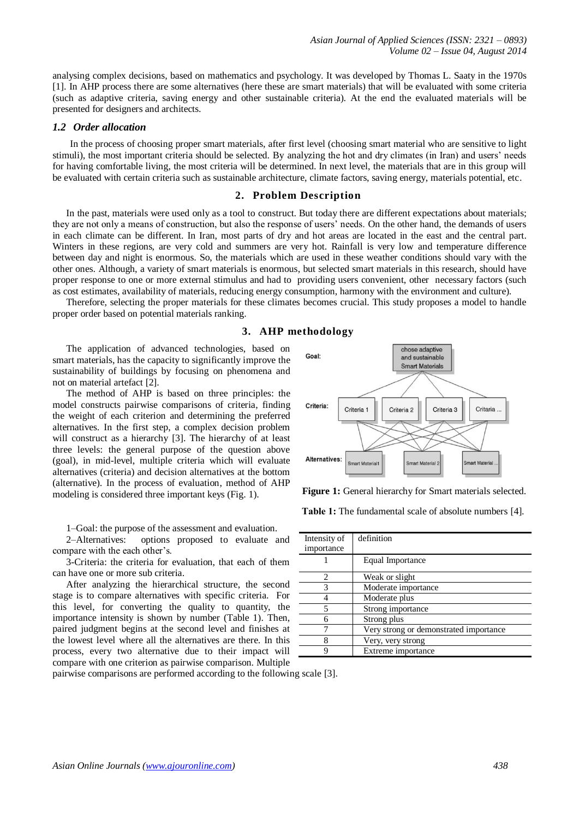analysing [complex decisions,](http://en.wikipedia.org/wiki/MCDA) based on [mathematics](http://en.wikipedia.org/wiki/Mathematics) and [psychology.](http://en.wikipedia.org/wiki/Psychology) It was developed by [Thomas L. Saaty](http://en.wikipedia.org/wiki/Thomas_L._Saaty) in the 1970s [1]. In AHP process there are some alternatives (here these are smart materials) that will be evaluated with some criteria (such as adaptive criteria, saving energy and other sustainable criteria). At the end the evaluated materials will be presented for designers and architects.

## *1.2 Order allocation*

In the process of choosing proper smart materials, after first level (choosing smart material who are sensitive to light stimuli), the most important criteria should be selected. By analyzing the hot and dry climates (in Iran) and users' needs for having comfortable living, the most criteria will be determined. In next level, the materials that are in this group will be evaluated with certain criteria such as sustainable architecture, climate factors, saving energy, materials potential, etc.

### **2. Problem Description**

In the past, materials were used only as a tool to construct. But today there are different expectations about materials; they are not only a means of construction, but also the response of users' needs. On the other hand, the demands of users in each climate can be different. In Iran, most parts of dry and hot areas are located in the east and the central part. Winters in these regions, are very cold and summers are very hot. Rainfall is very low and temperature difference between day and night is enormous. So, the materials which are used in these weather conditions should vary with the other ones. Although, a variety of smart materials is enormous, but selected smart materials in this research, should have proper response to one or more external stimulus and had to providing users convenient, other necessary factors (such as cost estimates, availability of materials, reducing energy consumption, harmony with the environment and culture).

Therefore, selecting the proper materials for these climates becomes crucial. This study proposes a model to handle proper order based on potential materials ranking.

# **3. AHP methodology**

The application of advanced technologies, based on smart materials, has the capacity to significantly improve the sustainability of buildings by focusing on phenomena and not on material artefact [2].

The method of AHP is based on three principles: the model constructs pairwise comparisons of criteria, finding the weight of each criterion and determining the preferred alternatives. In the first step, a complex decision problem will construct as a hierarchy [3]. The hierarchy of at least three levels: the general purpose of the question above (goal), in mid-level, multiple criteria which will evaluate alternatives (criteria) and decision alternatives at the bottom (alternative). In the process of evaluation, method of AHP modeling is considered three important keys (Fig. 1).

1–Goal: the purpose of the assessment and evaluation.

2–Alternatives: options proposed to evaluate and compare with the each other's.

3-Criteria: the criteria for evaluation, that each of them can have one or more sub criteria.

After analyzing the hierarchical structure, the second stage is to compare alternatives with specific criteria. For this level, for converting the quality to quantity, the importance intensity is shown by number (Table 1). Then, paired judgment begins at the second level and finishes at the lowest level where all the alternatives are there. In this process, every two alternative due to their impact will compare with one criterion as pairwise comparison. Multiple



**Figure 1:** General hierarchy for Smart materials selected.

 **Table 1:** The fundamental scale of absolute numbers [4].

| Intensity of   | definition                             |
|----------------|----------------------------------------|
| importance     |                                        |
|                | Equal Importance                       |
| $\overline{c}$ | Weak or slight                         |
| 3              | Moderate importance                    |
|                | Moderate plus                          |
| 5              | Strong importance                      |
| 6              | Strong plus                            |
|                | Very strong or demonstrated importance |
| 8              | Very, very strong                      |
| Q              | Extreme importance                     |
|                |                                        |

pairwise comparisons are performed according to the following scale [3].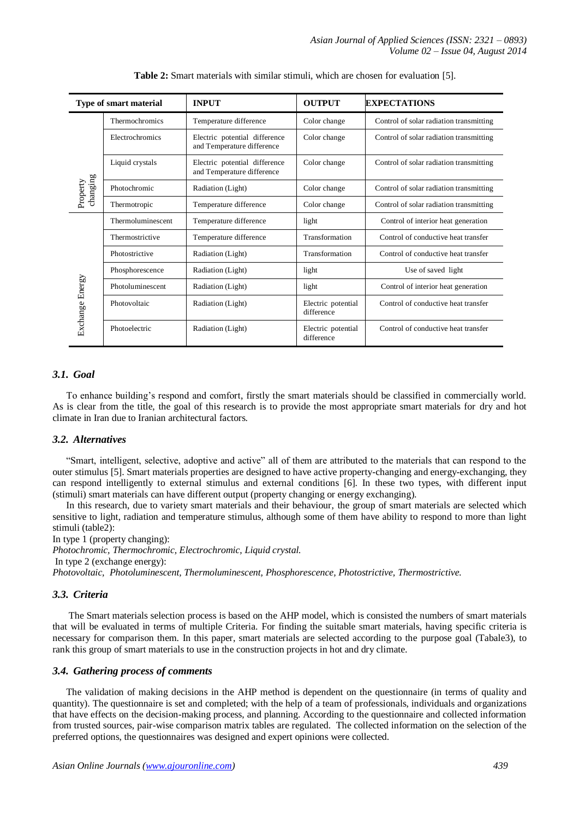| Type of smart material |                   | <b>INPUT</b>                                                | <b>OUTPUT</b>                    | <b>EXPECTATIONS</b>                     |  |
|------------------------|-------------------|-------------------------------------------------------------|----------------------------------|-----------------------------------------|--|
|                        | Thermochromics    | Temperature difference                                      | Color change                     | Control of solar radiation transmitting |  |
|                        | Electrochromics   | Electric potential difference<br>and Temperature difference | Color change                     | Control of solar radiation transmitting |  |
|                        | Liquid crystals   | Electric potential difference<br>and Temperature difference | Color change                     | Control of solar radiation transmitting |  |
| changing<br>Property   | Photochromic      | Radiation (Light)                                           | Color change                     | Control of solar radiation transmitting |  |
|                        | Thermotropic      | Temperature difference                                      | Color change                     | Control of solar radiation transmitting |  |
| Exchange Energy        | Thermoluminescent | Temperature difference                                      | light                            | Control of interior heat generation     |  |
|                        | Thermostrictive   | Temperature difference                                      | Transformation                   | Control of conductive heat transfer     |  |
|                        | Photostrictive    | Radiation (Light)                                           | Transformation                   | Control of conductive heat transfer     |  |
|                        | Phosphorescence   | Radiation (Light)                                           | light                            | Use of saved light                      |  |
|                        | Photoluminescent  | Radiation (Light)                                           | light                            | Control of interior heat generation     |  |
|                        | Photovoltaic      | Radiation (Light)                                           | Electric potential<br>difference | Control of conductive heat transfer     |  |
|                        | Photoelectric     | Radiation (Light)                                           | Electric potential<br>difference | Control of conductive heat transfer     |  |

**Table 2:** Smart materials with similar stimuli, which are chosen for evaluation [5].

# *3.1. Goal*

To enhance building's respond and comfort, firstly the smart materials should be classified in commercially world. As is clear from the title, the goal of this research is to provide the most appropriate smart materials for dry and hot climate in Iran due to Iranian architectural factors.

## *3.2. Alternatives*

"Smart, intelligent, selective, adoptive and active" all of them are attributed to the materials that can respond to the outer stimulus [5]. Smart materials properties are designed to have active property-changing and energy-exchanging, they can respond intelligently to external stimulus and external conditions [6]. In these two types, with different input (stimuli) smart materials can have different output (property changing or energy exchanging).

In this research, due to variety smart materials and their behaviour, the group of smart materials are selected which sensitive to light, radiation and temperature stimulus, although some of them have ability to respond to more than light stimuli (table2):

In type 1 (property changing): *Photochromic, Thermochromic, Electrochromic, Liquid crystal.* In type 2 (exchange energy): *Photovoltaic, Photoluminescent, Thermoluminescent, Phosphorescence, Photostrictive, Thermostrictive.*

# *3.3. Criteria*

The Smart materials selection process is based on the AHP model, which is consisted the numbers of smart materials that will be evaluated in terms of multiple Criteria. For finding the suitable smart materials, having specific criteria is necessary for comparison them. In this paper, smart materials are selected according to the purpose goal (Tabale3), to rank this group of smart materials to use in the construction projects in hot and dry climate.

## *3.4. Gathering process of comments*

The validation of making decisions in the AHP method is dependent on the questionnaire (in terms of quality and quantity). The questionnaire is set and completed; with the help of a team of professionals, individuals and organizations that have effects on the decision-making process, and planning. According to the questionnaire and collected information from trusted sources, pair-wise comparison matrix tables are regulated. The collected information on the selection of the preferred options, the questionnaires was designed and expert opinions were collected.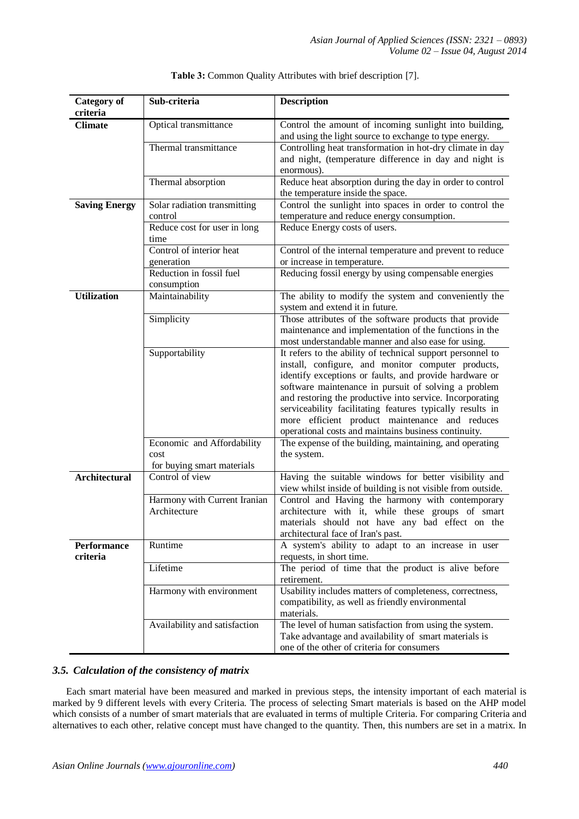| <b>Category of</b><br>criteria | Sub-criteria                                  | <b>Description</b>                                                                                                                                                                                                                                                                                                                                                                                                                                                    |  |  |  |
|--------------------------------|-----------------------------------------------|-----------------------------------------------------------------------------------------------------------------------------------------------------------------------------------------------------------------------------------------------------------------------------------------------------------------------------------------------------------------------------------------------------------------------------------------------------------------------|--|--|--|
| <b>Climate</b>                 | Optical transmittance                         | Control the amount of incoming sunlight into building,<br>and using the light source to exchange to type energy.                                                                                                                                                                                                                                                                                                                                                      |  |  |  |
|                                | Thermal transmittance                         | Controlling heat transformation in hot-dry climate in day<br>and night, (temperature difference in day and night is<br>enormous).                                                                                                                                                                                                                                                                                                                                     |  |  |  |
|                                | Thermal absorption                            | Reduce heat absorption during the day in order to control<br>the temperature inside the space.                                                                                                                                                                                                                                                                                                                                                                        |  |  |  |
| <b>Saving Energy</b>           | Solar radiation transmitting<br>control       | Control the sunlight into spaces in order to control the<br>temperature and reduce energy consumption.                                                                                                                                                                                                                                                                                                                                                                |  |  |  |
|                                | Reduce cost for user in long<br>time          | Reduce Energy costs of users.                                                                                                                                                                                                                                                                                                                                                                                                                                         |  |  |  |
|                                | Control of interior heat<br>generation        | Control of the internal temperature and prevent to reduce<br>or increase in temperature.                                                                                                                                                                                                                                                                                                                                                                              |  |  |  |
|                                | Reduction in fossil fuel<br>consumption       | Reducing fossil energy by using compensable energies                                                                                                                                                                                                                                                                                                                                                                                                                  |  |  |  |
| <b>Utilization</b>             | Maintainability                               | The ability to modify the system and conveniently the<br>system and extend it in future.                                                                                                                                                                                                                                                                                                                                                                              |  |  |  |
|                                | Simplicity                                    | Those attributes of the software products that provide<br>maintenance and implementation of the functions in the<br>most understandable manner and also ease for using.                                                                                                                                                                                                                                                                                               |  |  |  |
|                                | Supportability                                | It refers to the ability of technical support personnel to<br>install, configure, and monitor computer products,<br>identify exceptions or faults, and provide hardware or<br>software maintenance in pursuit of solving a problem<br>and restoring the productive into service. Incorporating<br>serviceability facilitating features typically results in<br>more efficient product maintenance and reduces<br>operational costs and maintains business continuity. |  |  |  |
|                                | Economic and Affordability<br>cost            | The expense of the building, maintaining, and operating<br>the system.                                                                                                                                                                                                                                                                                                                                                                                                |  |  |  |
| <b>Architectural</b>           | for buying smart materials<br>Control of view | Having the suitable windows for better visibility and<br>view whilst inside of building is not visible from outside.                                                                                                                                                                                                                                                                                                                                                  |  |  |  |
|                                | Harmony with Current Iranian<br>Architecture  | Control and Having the harmony with contemporary<br>architecture with it, while these groups of smart<br>materials should not have any bad effect on the<br>architectural face of Iran's past.                                                                                                                                                                                                                                                                        |  |  |  |
| <b>Performance</b><br>criteria | Runtime                                       | A system's ability to adapt to an increase in user<br>requests, in short time.                                                                                                                                                                                                                                                                                                                                                                                        |  |  |  |
|                                | Lifetime                                      | The period of time that the product is alive before<br>retirement.                                                                                                                                                                                                                                                                                                                                                                                                    |  |  |  |
|                                | Harmony with environment                      | Usability includes matters of completeness, correctness,<br>compatibility, as well as friendly environmental<br>materials.                                                                                                                                                                                                                                                                                                                                            |  |  |  |
|                                | Availability and satisfaction                 | The level of human satisfaction from using the system.<br>Take advantage and availability of smart materials is<br>one of the other of criteria for consumers                                                                                                                                                                                                                                                                                                         |  |  |  |

### **Table 3:** Common Quality Attributes with brief description [7].

## *3.5. Calculation of the consistency of matrix*

Each smart material have been measured and marked in previous steps, the intensity important of each material is marked by 9 different levels with every Criteria. The process of selecting Smart materials is based on the AHP model which consists of a number of smart materials that are evaluated in terms of multiple Criteria. For comparing Criteria and alternatives to each other, relative concept must have changed to the quantity. Then, this numbers are set in a matrix. In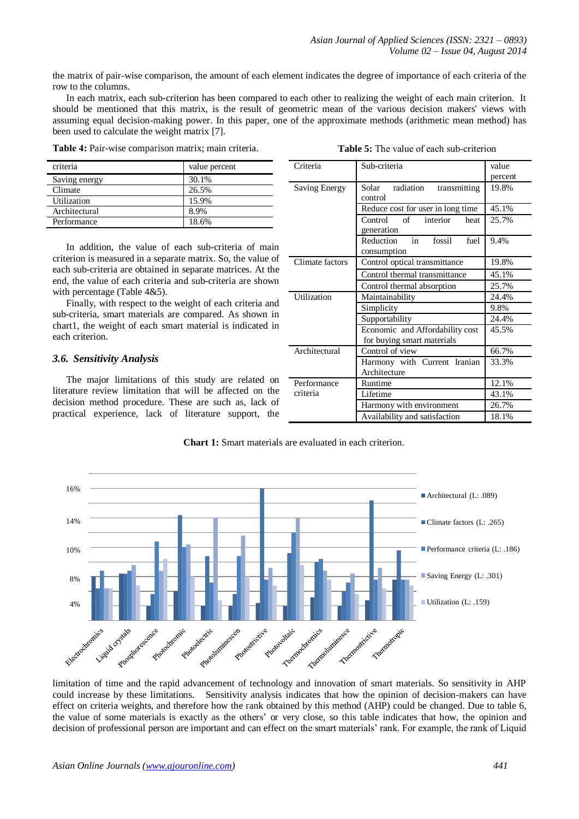the matrix of pair-wise comparison, the amount of each element indicates the degree of importance of each criteria of the row to the columns.

In each matrix, each sub-criterion has been compared to each other to realizing the weight of each main criterion. It should be mentioned that this matrix, is the result of geometric mean of the various decision makers' views with assuming equal decision-making power. In this paper, one of the approximate methods (arithmetic mean method) has been used to calculate the weight matrix [7].

|  | <b>Table 4:</b> Pair-wise comparison matrix; main criteria. |  |  |
|--|-------------------------------------------------------------|--|--|
|  |                                                             |  |  |

| <b>Table 5:</b> The value of each sub-criterion |
|-------------------------------------------------|
|-------------------------------------------------|

| criteria      | value percent |
|---------------|---------------|
| Saving energy | 30.1%         |
| Climate       | 26.5%         |
| Utilization   | 15.9%         |
| Architectural | 8.9%          |
| Performance   | 18.6%         |

In addition, the value of each sub-criteria of main criterion is measured in a separate matrix. So, the value of each sub-criteria are obtained in separate matrices. At the end, the value of each criteria and sub-criteria are shown with percentage (Table 4&5).

Finally, with respect to the weight of each criteria and sub-criteria, smart materials are compared. As shown in chart1, the weight of each smart material is indicated in each criterion.

### *3.6. Sensitivity Analysis*

The major limitations of this study are related on literature review limitation that will be affected on the decision method procedure. These are such as, lack of practical experience, lack of literature support, the

| Criteria             | Sub-criteria                                                  | value   |
|----------------------|---------------------------------------------------------------|---------|
|                      |                                                               | percent |
| <b>Saving Energy</b> | Solar radiation<br>transmitting                               | 19.8%   |
|                      | control                                                       |         |
|                      | Reduce cost for user in long time                             | 45.1%   |
|                      | interior<br>Control<br>of<br>heat<br>generation               | 25.7%   |
|                      | in<br>fossil<br>Reduction<br>fuel<br>consumption              | 9.4%    |
| Climate factors      | Control optical transmittance                                 | 19.8%   |
|                      | Control thermal transmittance                                 | 45.1%   |
|                      | Control thermal absorption                                    | 25.7%   |
| Utilization          | Maintainability                                               | 24.4%   |
|                      | Simplicity                                                    | 9.8%    |
|                      | Supportability                                                | 24.4%   |
|                      | Economic and Affordability cost<br>for buying smart materials | 45.5%   |
| Architectural        | Control of view                                               | 66.7%   |
|                      | Harmony with Current Iranian<br>Architecture                  | 33.3%   |
| Performance          | Runtime                                                       | 12.1%   |
| criteria             | Lifetime                                                      | 43.1%   |
|                      | Harmony with environment                                      | 26.7%   |
|                      | Availability and satisfaction                                 | 18.1%   |

**Chart 1:** Smart materials are evaluated in each criterion.



limitation of time and the rapid advancement of technology and innovation of smart materials. So sensitivity in AHP could increase by these limitations. Sensitivity analysis indicates that how the opinion of decision-makers can have effect on criteria weights, and therefore how the rank obtained by this method (AHP) could be changed. Due to table 6, the value of some materials is exactly as the others' or very close, so this table indicates that how, the opinion and decision of professional person are important and can effect on the smart materials' rank. For example, the rank of Liquid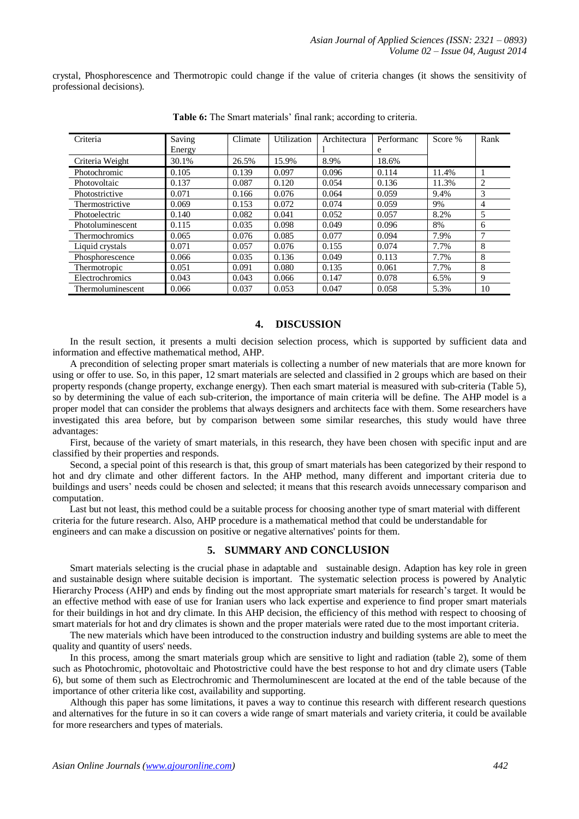crystal, Phosphorescence and Thermotropic could change if the value of criteria changes (it shows the sensitivity of professional decisions).

| Criteria              | Saving | Climate | Utilization | Architectura | Performanc | Score % | Rank |
|-----------------------|--------|---------|-------------|--------------|------------|---------|------|
|                       | Energy |         |             |              | e          |         |      |
| Criteria Weight       | 30.1%  | 26.5%   | 15.9%       | 8.9%         | 18.6%      |         |      |
| Photochromic          | 0.105  | 0.139   | 0.097       | 0.096        | 0.114      | 11.4%   |      |
| Photovoltaic          | 0.137  | 0.087   | 0.120       | 0.054        | 0.136      | 11.3%   | 2    |
| Photostrictive        | 0.071  | 0.166   | 0.076       | 0.064        | 0.059      | 9.4%    | 3    |
| Thermostrictive       | 0.069  | 0.153   | 0.072       | 0.074        | 0.059      | 9%      | 4    |
| Photoelectric         | 0.140  | 0.082   | 0.041       | 0.052        | 0.057      | 8.2%    | 5    |
| Photoluminescent      | 0.115  | 0.035   | 0.098       | 0.049        | 0.096      | 8%      | 6    |
| <b>Thermochromics</b> | 0.065  | 0.076   | 0.085       | 0.077        | 0.094      | 7.9%    | 7    |
| Liquid crystals       | 0.071  | 0.057   | 0.076       | 0.155        | 0.074      | 7.7%    | 8    |
| Phosphorescence       | 0.066  | 0.035   | 0.136       | 0.049        | 0.113      | 7.7%    | 8    |
| Thermotropic          | 0.051  | 0.091   | 0.080       | 0.135        | 0.061      | 7.7%    | 8    |
| Electrochromics       | 0.043  | 0.043   | 0.066       | 0.147        | 0.078      | 6.5%    | 9    |
| Thermoluminescent     | 0.066  | 0.037   | 0.053       | 0.047        | 0.058      | 5.3%    | 10   |

**Table 6:** The Smart materials' final rank; according to criteria.

# **4. DISCUSSION**

In the result section, it presents a multi decision selection process, which is supported by sufficient data and information and effective mathematical method, AHP.

A precondition of selecting proper smart materials is collecting a number of new materials that are more known for using or offer to use. So, in this paper, 12 smart materials are selected and classified in 2 groups which are based on their property responds (change property, exchange energy). Then each smart material is measured with sub-criteria (Table 5), so by determining the value of each sub-criterion, the importance of main criteria will be define. The AHP model is a proper model that can consider the problems that always designers and architects face with them. Some researchers have investigated this area before, but by comparison between some similar researches, this study would have three advantages:

First, because of the variety of smart materials, in this research, they have been chosen with specific input and are classified by their properties and responds.

Second, a special point of this research is that, this group of smart materials has been categorized by their respond to hot and dry climate and other different factors. In the AHP method, many different and important criteria due to buildings and users' needs could be chosen and selected; it means that this research avoids unnecessary comparison and computation.

Last but not least, this method could be a suitable process for choosing another type of smart material with different criteria for the future research. Also, AHP procedure is a mathematical method that could be understandable for engineers and can make a discussion on positive or negative alternatives' points for them.

# **5. SUMMARY AND CONCLUSION**

Smart materials selecting is the crucial phase in adaptable and sustainable design. Adaption has key role in green and sustainable design where suitable decision is important. The systematic selection process is powered by Analytic Hierarchy Process (AHP) and ends by finding out the most appropriate smart materials for research's target. It would be an effective method with ease of use for Iranian users who lack expertise and experience to find proper smart materials for their buildings in hot and dry climate. In this AHP decision, the efficiency of this method with respect to choosing of smart materials for hot and dry climates is shown and the proper materials were rated due to the most important criteria.

The new materials which have been introduced to the construction industry and building systems are able to meet the quality and quantity of users' needs.

In this process, among the smart materials group which are sensitive to light and radiation (table 2), some of them such as Photochromic, photovoltaic and Photostrictive could have the best response to hot and dry climate users (Table 6), but some of them such as Electrochromic and Thermoluminescent are located at the end of the table because of the importance of other criteria like cost, availability and supporting.

Although this paper has some limitations, it paves a way to continue this research with different research questions and alternatives for the future in so it can covers a wide range of smart materials and variety criteria, it could be available for more researchers and types of materials.